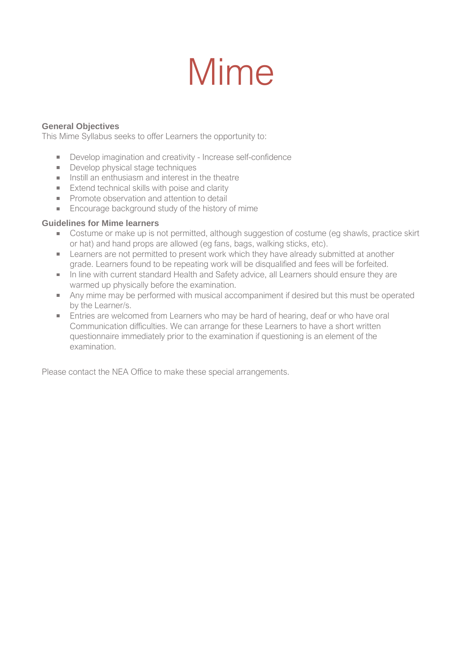# Mime

#### **General Objectives**

This Mime Syllabus seeks to offer Learners the opportunity to:

- Develop imagination and creativity Increase self-confidence
- Develop physical stage techniques
- Instill an enthusiasm and interest in the theatre
- **Extend technical skills with poise and clarity**
- **Promote observation and attention to detail**
- **Encourage background study of the history of mime**

#### **Guidelines for Mime learners**

- Costume or make up is not permitted, although suggestion of costume (eg shawls, practice skirt or hat) and hand props are allowed (eg fans, bags, walking sticks, etc).
- Learners are not permitted to present work which they have already submitted at another **COLLECT** grade. Learners found to be repeating work will be disqualified and fees will be forfeited.
- In line with current standard Health and Safety advice, all Learners should ensure they are warmed up physically before the examination.
- Any mime may be performed with musical accompaniment if desired but this must be operated by the Learner/s.
- **Entries are welcomed from Learners who may be hard of hearing, deaf or who have oral** Communication difficulties. We can arrange for these Learners to have a short written questionnaire immediately prior to the examination if questioning is an element of the examination.

Please contact the NEA Office to make these special arrangements.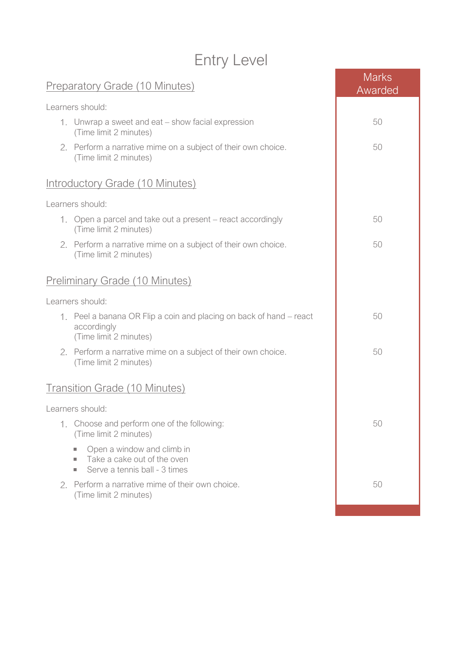## Entry Level

| <b>Preparatory Grade (10 Minutes)</b>                                                                                                 | <b>Marks</b><br>Awarded |
|---------------------------------------------------------------------------------------------------------------------------------------|-------------------------|
| Learners should:                                                                                                                      |                         |
| 1. Unwrap a sweet and eat – show facial expression<br>(Time limit 2 minutes)                                                          | 50                      |
| 2. Perform a narrative mime on a subject of their own choice.<br>(Time limit 2 minutes)                                               | 50                      |
| <b>Introductory Grade (10 Minutes)</b>                                                                                                |                         |
| Learners should:                                                                                                                      |                         |
| 1. Open a parcel and take out a present – react accordingly<br>(Time limit 2 minutes)                                                 | 50                      |
| 2. Perform a narrative mime on a subject of their own choice.<br>(Time limit 2 minutes)                                               | 50                      |
| <b>Preliminary Grade (10 Minutes)</b>                                                                                                 |                         |
| Learners should:                                                                                                                      |                         |
| 1. Peel a banana OR Flip a coin and placing on back of hand – react<br>accordingly<br>(Time limit 2 minutes)                          | 50                      |
| 2. Perform a narrative mime on a subject of their own choice.<br>(Time limit 2 minutes)                                               | 50                      |
| <b>Transition Grade (10 Minutes)</b>                                                                                                  |                         |
| Learners should:                                                                                                                      |                         |
| 1. Choose and perform one of the following:<br>(Time limit 2 minutes)                                                                 | 50                      |
| Open a window and climb in<br>×.<br>Take a cake out of the oven<br>$\mathcal{L}_{\mathcal{A}}$<br>Serve a tennis ball - 3 times<br>×. |                         |
| 2. Perform a narrative mime of their own choice.<br>(Time limit 2 minutes)                                                            | 50                      |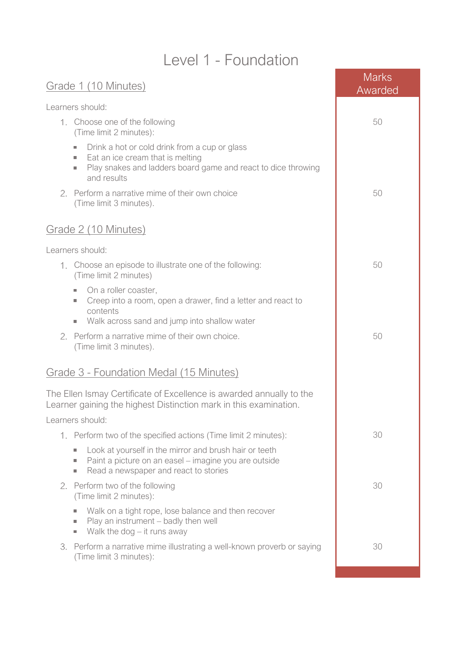### Level 1 - Foundation

| Grade 1 (10 Minutes)                                                                                                                                                                       | <b>Marks</b><br>Awarded |
|--------------------------------------------------------------------------------------------------------------------------------------------------------------------------------------------|-------------------------|
| Learners should:                                                                                                                                                                           |                         |
| 1. Choose one of the following<br>(Time limit 2 minutes):                                                                                                                                  | 50                      |
| Drink a hot or cold drink from a cup or glass<br>×.<br>Eat an ice cream that is melting<br>ш<br>Play snakes and ladders board game and react to dice throwing<br>ш<br>and results          |                         |
| Perform a narrative mime of their own choice<br>2.<br>(Time limit 3 minutes).                                                                                                              | 50                      |
| Grade 2 (10 Minutes)                                                                                                                                                                       |                         |
| Learners should:                                                                                                                                                                           |                         |
| Choose an episode to illustrate one of the following:<br>1.<br>(Time limit 2 minutes)                                                                                                      | 50                      |
| On a roller coaster,<br>ш<br>Creep into a room, open a drawer, find a letter and react to<br>a.<br>contents<br>Walk across sand and jump into shallow water<br>$\mathcal{L}_{\mathcal{A}}$ |                         |
| Perform a narrative mime of their own choice.<br>2.<br>(Time limit 3 minutes).                                                                                                             | 50                      |
| Grade 3 - Foundation Medal (15 Minutes)                                                                                                                                                    |                         |
| The Ellen Ismay Certificate of Excellence is awarded annually to the<br>Learner gaining the highest Distinction mark in this examination.<br>Learners should:                              |                         |
| 1. Perform two of the specified actions (Time limit 2 minutes):                                                                                                                            | 30                      |
| Look at yourself in the mirror and brush hair or teeth<br>$\sim$<br>Paint a picture on an easel – imagine you are outside<br>×.<br>Read a newspaper and react to stories<br>×.             |                         |
| Perform two of the following<br>2.<br>(Time limit 2 minutes):                                                                                                                              | 30                      |
| Walk on a tight rope, lose balance and then recover<br>Play an instrument - badly then well<br>$\sim$<br>Walk the dog $-$ it runs away<br>×.                                               |                         |
| Perform a narrative mime illustrating a well-known proverb or saying<br>3.<br>(Time limit 3 minutes):                                                                                      | 30                      |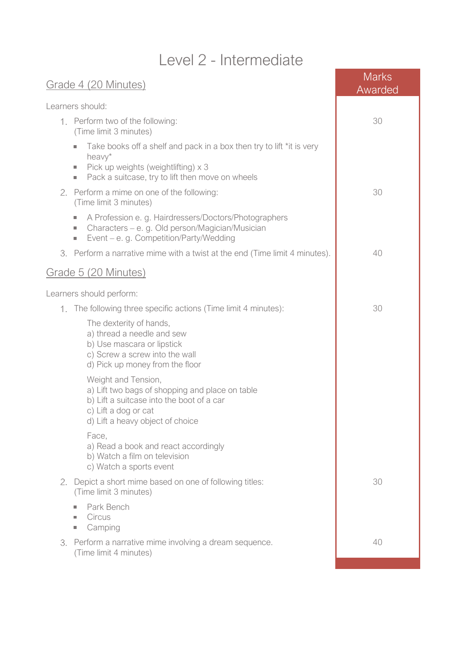## Level 2 - Intermediate

| Grade 4 (20 Minutes)                                                                                                                                                                                                  | <b>Marks</b><br>Awarded |
|-----------------------------------------------------------------------------------------------------------------------------------------------------------------------------------------------------------------------|-------------------------|
| Learners should:                                                                                                                                                                                                      |                         |
| 1. Perform two of the following:<br>(Time limit 3 minutes)                                                                                                                                                            | 30                      |
| Take books off a shelf and pack in a box then try to lift *it is very<br>$\mathcal{L}_{\mathcal{A}}$<br>heavy*<br>Pick up weights (weightlifting) x 3<br>a.<br>Pack a suitcase, try to lift then move on wheels<br>×. |                         |
| Perform a mime on one of the following:<br>2.<br>(Time limit 3 minutes)                                                                                                                                               | 30                      |
| A Profession e. g. Hairdressers/Doctors/Photographers<br>$\sim$<br>Characters - e. g. Old person/Magician/Musician<br>×.<br>Event - e. g. Competition/Party/Wedding<br>ш                                              |                         |
| Perform a narrative mime with a twist at the end (Time limit 4 minutes).<br>3.                                                                                                                                        | 40                      |
| Grade 5 (20 Minutes)                                                                                                                                                                                                  |                         |
| Learners should perform:                                                                                                                                                                                              |                         |
| The following three specific actions (Time limit 4 minutes):<br>1.                                                                                                                                                    | 30                      |
| The dexterity of hands,<br>a) thread a needle and sew<br>b) Use mascara or lipstick<br>c) Screw a screw into the wall<br>d) Pick up money from the floor                                                              |                         |
| Weight and Tension,<br>a) Lift two bags of shopping and place on table<br>b) Lift a suitcase into the boot of a car<br>c) Lift a dog or cat<br>d) Lift a heavy object of choice                                       |                         |
| Face,<br>a) Read a book and react accordingly<br>b) Watch a film on television<br>c) Watch a sports event                                                                                                             |                         |
| 2.<br>Depict a short mime based on one of following titles:<br>(Time limit 3 minutes)                                                                                                                                 | 30                      |
| Park Bench<br>Circus<br>$\mathcal{L}_{\mathcal{A}}$<br>Camping<br>п                                                                                                                                                   |                         |
| Perform a narrative mime involving a dream sequence.<br>3.<br>(Time limit 4 minutes)                                                                                                                                  | 40                      |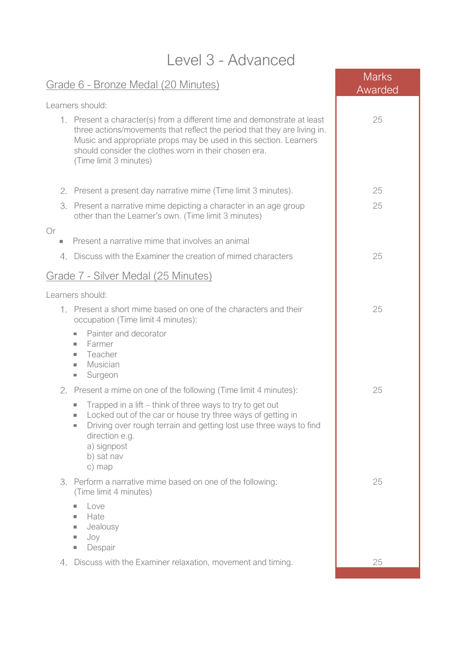| Level 3 - Advanced                |                                                                                                                                                                                                                                                                                                              |                         |  |
|-----------------------------------|--------------------------------------------------------------------------------------------------------------------------------------------------------------------------------------------------------------------------------------------------------------------------------------------------------------|-------------------------|--|
|                                   | Grade 6 - Bronze Medal (20 Minutes)                                                                                                                                                                                                                                                                          | <b>Marks</b><br>Awarded |  |
|                                   | Learners should:                                                                                                                                                                                                                                                                                             |                         |  |
|                                   | 1. Present a character(s) from a different time and demonstrate at least<br>three actions/movements that reflect the period that they are living in.<br>Music and appropriate props may be used in this section. Learners<br>should consider the clothes worn in their chosen era.<br>(Time limit 3 minutes) | 25                      |  |
| 2.                                | Present a present day narrative mime (Time limit 3 minutes).                                                                                                                                                                                                                                                 | 25                      |  |
| 3.                                | Present a narrative mime depicting a character in an age group<br>other than the Learner's own. (Time limit 3 minutes)                                                                                                                                                                                       | 25                      |  |
| Or<br>$\mathcal{L}_{\mathcal{A}}$ | Present a narrative mime that involves an animal                                                                                                                                                                                                                                                             |                         |  |
|                                   | 4. Discuss with the Examiner the creation of mimed characters                                                                                                                                                                                                                                                | 25                      |  |
|                                   | Grade 7 - Silver Medal (25 Minutes)                                                                                                                                                                                                                                                                          |                         |  |
|                                   | Learners should:                                                                                                                                                                                                                                                                                             |                         |  |
|                                   | 1. Present a short mime based on one of the characters and their<br>occupation (Time limit 4 minutes):                                                                                                                                                                                                       | 25                      |  |
|                                   | Painter and decorator<br>$\mathcal{L}_{\mathcal{A}}$<br>Farmer<br>$\mathcal{L}_{\mathcal{A}}$<br>Teacher<br>×.<br>Musician<br>$\mathcal{L}_{\mathcal{A}}$<br>Surgeon<br>×.                                                                                                                                   |                         |  |
|                                   | Present a mime on one of the following (Time limit 4 minutes):                                                                                                                                                                                                                                               | 25                      |  |
|                                   | Trapped in a lift – think of three ways to try to get out<br>×.<br>Locked out of the car or house try three ways of getting in<br>×,<br>Driving over rough terrain and getting lost use three ways to find<br>×.<br>direction e.g.<br>a) signpost<br>b) sat nav<br>c) map                                    |                         |  |
| 3.                                | Perform a narrative mime based on one of the following:<br>(Time limit 4 minutes)                                                                                                                                                                                                                            | 25                      |  |
|                                   | Love<br>ш<br>Hate<br>$\mathcal{L}_{\mathcal{A}}$<br>Jealousy<br>$\mathcal{L}_{\mathcal{A}}$<br>Joy<br>×.<br>Despair<br>$\mathcal{L}_{\mathcal{A}}$                                                                                                                                                           |                         |  |
| 4.                                | Discuss with the Examiner relaxation, movement and timing.                                                                                                                                                                                                                                                   | 25                      |  |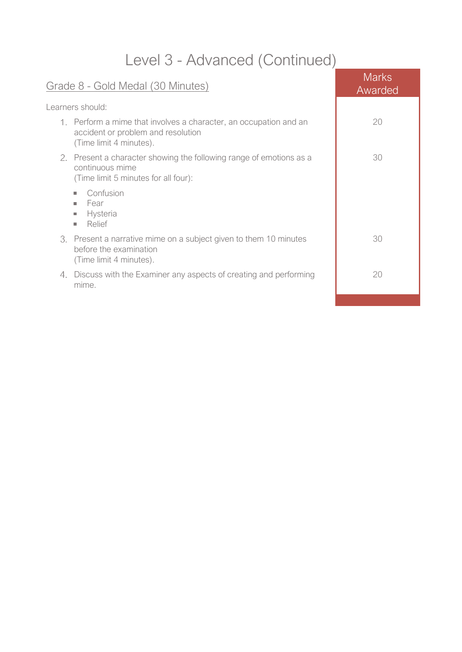## Level 3 - Advanced (Continued)

| Grade 8 - Gold Medal (30 Minutes)                                                                                                  | <b>Marks</b><br>Awarded |
|------------------------------------------------------------------------------------------------------------------------------------|-------------------------|
| Learners should:                                                                                                                   |                         |
| 1. Perform a mime that involves a character, an occupation and an<br>accident or problem and resolution<br>(Time limit 4 minutes). | 20                      |
| 2. Present a character showing the following range of emotions as a<br>continuous mime<br>(Time limit 5 minutes for all four):     | 30                      |
| Confusion<br>×.<br>Fear<br>m.<br>Hysteria<br>$\Box$<br>Relief<br>ш                                                                 |                         |
| 3. Present a narrative mime on a subject given to them 10 minutes<br>before the examination<br>(Time limit 4 minutes).             | 30                      |
| Discuss with the Examiner any aspects of creating and performing<br>4.<br>mime.                                                    | 20                      |
|                                                                                                                                    |                         |